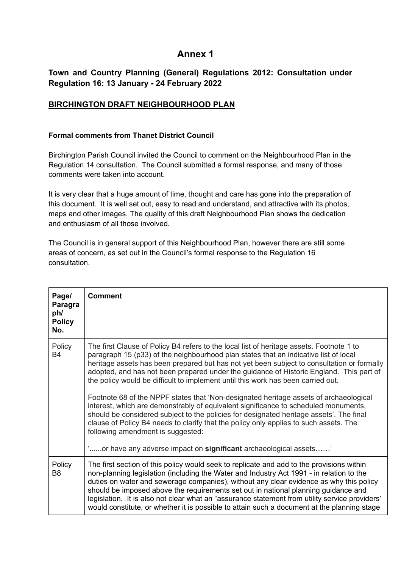## **Annex 1**

## **Town and Country Planning (General) Regulations 2012: Consultation under Regulation 16: 13 January - 24 February 2022**

## **[BIRCHINGTON DRAFT NEIGHBOURHOOD PLAN](https://birchington-pc.gov.uk/wp-content/uploads/2021/09/BIRCHINGTON-DRAFT-NEIGHBOURHOOD-PLAN.pdf)**

## **Formal comments from Thanet District Council**

Birchington Parish Council invited the Council to comment on the Neighbourhood Plan in the Regulation 14 consultation. The Council submitted a formal response, and many of those comments were taken into account.

It is very clear that a huge amount of time, thought and care has gone into the preparation of this document. It is well set out, easy to read and understand, and attractive with its photos, maps and other images. The quality of this draft Neighbourhood Plan shows the dedication and enthusiasm of all those involved.

The Council is in general support of this Neighbourhood Plan, however there are still some areas of concern, as set out in the Council's formal response to the Regulation 16 consultation.

| Page/<br>Paragra<br>ph/<br><b>Policy</b><br>No. | <b>Comment</b>                                                                                                                                                                                                                                                                                                                                                                                                                                                             |
|-------------------------------------------------|----------------------------------------------------------------------------------------------------------------------------------------------------------------------------------------------------------------------------------------------------------------------------------------------------------------------------------------------------------------------------------------------------------------------------------------------------------------------------|
| Policy<br><b>B4</b>                             | The first Clause of Policy B4 refers to the local list of heritage assets. Footnote 1 to<br>paragraph 15 (p33) of the neighbourhood plan states that an indicative list of local<br>heritage assets has been prepared but has not yet been subject to consultation or formally<br>adopted, and has not been prepared under the guidance of Historic England. This part of<br>the policy would be difficult to implement until this work has been carried out.              |
|                                                 | Footnote 68 of the NPPF states that 'Non-designated heritage assets of archaeological<br>interest, which are demonstrably of equivalent significance to scheduled monuments,<br>should be considered subject to the policies for designated heritage assets'. The final<br>clause of Policy B4 needs to clarify that the policy only applies to such assets. The<br>following amendment is suggested:<br>'or have any adverse impact on significant archaeological assets' |
| Policy                                          | The first section of this policy would seek to replicate and add to the provisions within                                                                                                                                                                                                                                                                                                                                                                                  |
| B <sub>8</sub>                                  | non-planning legislation (including the Water and Industry Act 1991 - in relation to the<br>duties on water and sewerage companies), without any clear evidence as why this policy<br>should be imposed above the requirements set out in national planning guidance and<br>legislation. It is also not clear what an "assurance statement from utility service providers'<br>would constitute, or whether it is possible to attain such a document at the planning stage  |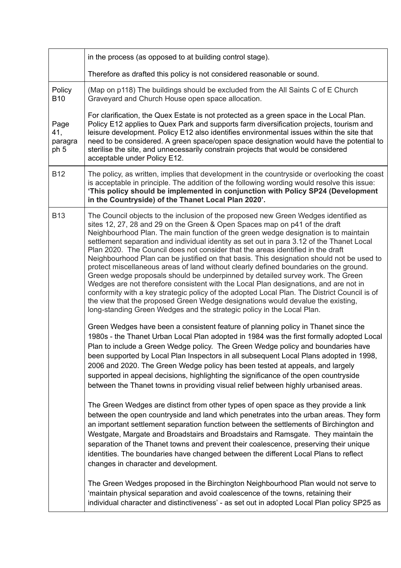|                                | in the process (as opposed to at building control stage).                                                                                                                                                                                                                                                                                                                                                                                                                                                                                                                                                                                                                                                                                                                                                                                                                                                                                                                                                                                                                                                                                                                                                              |
|--------------------------------|------------------------------------------------------------------------------------------------------------------------------------------------------------------------------------------------------------------------------------------------------------------------------------------------------------------------------------------------------------------------------------------------------------------------------------------------------------------------------------------------------------------------------------------------------------------------------------------------------------------------------------------------------------------------------------------------------------------------------------------------------------------------------------------------------------------------------------------------------------------------------------------------------------------------------------------------------------------------------------------------------------------------------------------------------------------------------------------------------------------------------------------------------------------------------------------------------------------------|
|                                | Therefore as drafted this policy is not considered reasonable or sound.                                                                                                                                                                                                                                                                                                                                                                                                                                                                                                                                                                                                                                                                                                                                                                                                                                                                                                                                                                                                                                                                                                                                                |
| Policy<br><b>B10</b>           | (Map on p118) The buildings should be excluded from the All Saints C of E Church<br>Graveyard and Church House open space allocation.                                                                                                                                                                                                                                                                                                                                                                                                                                                                                                                                                                                                                                                                                                                                                                                                                                                                                                                                                                                                                                                                                  |
| Page<br>41,<br>paragra<br>ph 5 | For clarification, the Quex Estate is not protected as a green space in the Local Plan.<br>Policy E12 applies to Quex Park and supports farm diversification projects, tourism and<br>leisure development. Policy E12 also identifies environmental issues within the site that<br>need to be considered. A green space/open space designation would have the potential to<br>sterilise the site, and unnecessarily constrain projects that would be considered<br>acceptable under Policy E12.                                                                                                                                                                                                                                                                                                                                                                                                                                                                                                                                                                                                                                                                                                                        |
| <b>B12</b>                     | The policy, as written, implies that development in the countryside or overlooking the coast<br>is acceptable in principle. The addition of the following wording would resolve this issue:<br>'This policy should be implemented in conjunction with Policy SP24 (Development<br>in the Countryside) of the Thanet Local Plan 2020'.                                                                                                                                                                                                                                                                                                                                                                                                                                                                                                                                                                                                                                                                                                                                                                                                                                                                                  |
| <b>B13</b>                     | The Council objects to the inclusion of the proposed new Green Wedges identified as<br>sites 12, 27, 28 and 29 on the Green & Open Spaces map on p41 of the draft<br>Neighbourhood Plan. The main function of the green wedge designation is to maintain<br>settlement separation and individual identity as set out in para 3.12 of the Thanet Local<br>Plan 2020. The Council does not consider that the areas identified in the draft<br>Neighbourhood Plan can be justified on that basis. This designation should not be used to<br>protect miscellaneous areas of land without clearly defined boundaries on the ground.<br>Green wedge proposals should be underpinned by detailed survey work. The Green<br>Wedges are not therefore consistent with the Local Plan designations, and are not in<br>conformity with a key strategic policy of the adopted Local Plan. The District Council is of<br>the view that the proposed Green Wedge designations would devalue the existing,<br>long-standing Green Wedges and the strategic policy in the Local Plan.                                                                                                                                                  |
|                                | Green Wedges have been a consistent feature of planning policy in Thanet since the<br>1980s - the Thanet Urban Local Plan adopted in 1984 was the first formally adopted Local<br>Plan to include a Green Wedge policy. The Green Wedge policy and boundaries have<br>been supported by Local Plan Inspectors in all subsequent Local Plans adopted in 1998,<br>2006 and 2020. The Green Wedge policy has been tested at appeals, and largely<br>supported in appeal decisions, highlighting the significance of the open countryside<br>between the Thanet towns in providing visual relief between highly urbanised areas.<br>The Green Wedges are distinct from other types of open space as they provide a link<br>between the open countryside and land which penetrates into the urban areas. They form<br>an important settlement separation function between the settlements of Birchington and<br>Westgate, Margate and Broadstairs and Broadstairs and Ramsgate. They maintain the<br>separation of the Thanet towns and prevent their coalescence, preserving their unique<br>identities. The boundaries have changed between the different Local Plans to reflect<br>changes in character and development. |
|                                | The Green Wedges proposed in the Birchington Neighbourhood Plan would not serve to<br>'maintain physical separation and avoid coalescence of the towns, retaining their<br>individual character and distinctiveness' - as set out in adopted Local Plan policy SP25 as                                                                                                                                                                                                                                                                                                                                                                                                                                                                                                                                                                                                                                                                                                                                                                                                                                                                                                                                                 |